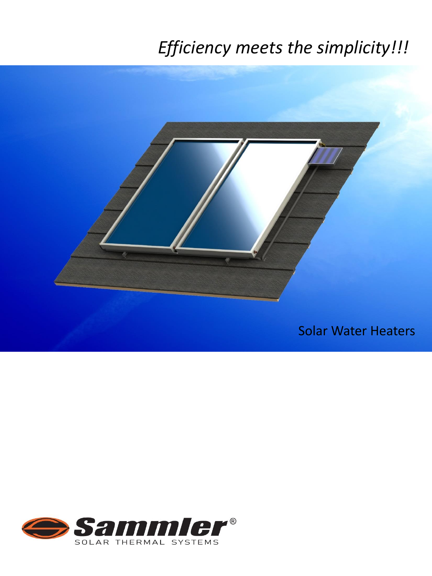# *Efficiency meets the simplicity!!!*



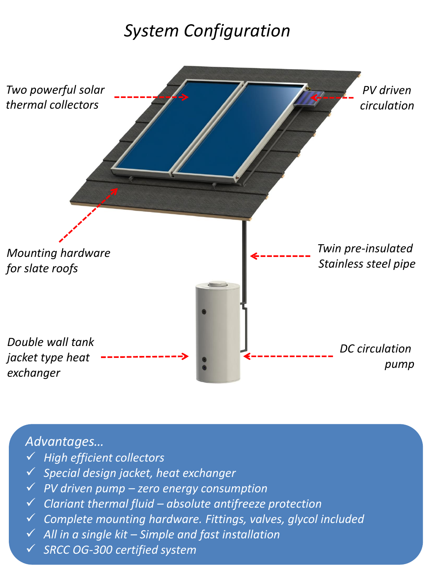## *System Configuration*



#### *Advantages…*

- *High efficient collectors*
- *Special design jacket, heat exchanger*
- *PV driven pump – zero energy consumption*
- *Clariant thermal fluid – absolute antifreeze protection*
- *Complete mounting hardware. Fittings, valves, glycol included*
- *All in a single kit – Simple and fast installation*
- *SRCC OG-300 certified system*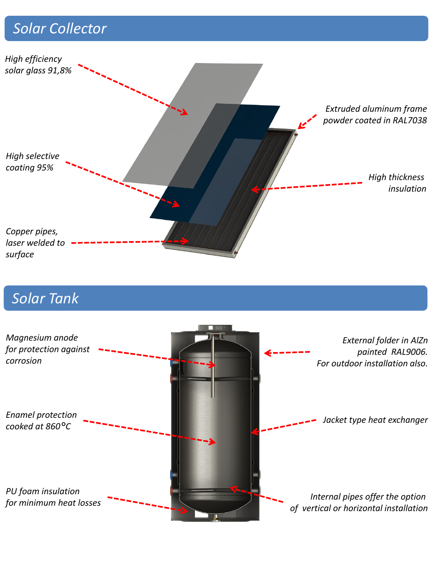### *Solar Collector*



#### *Solar Tank*